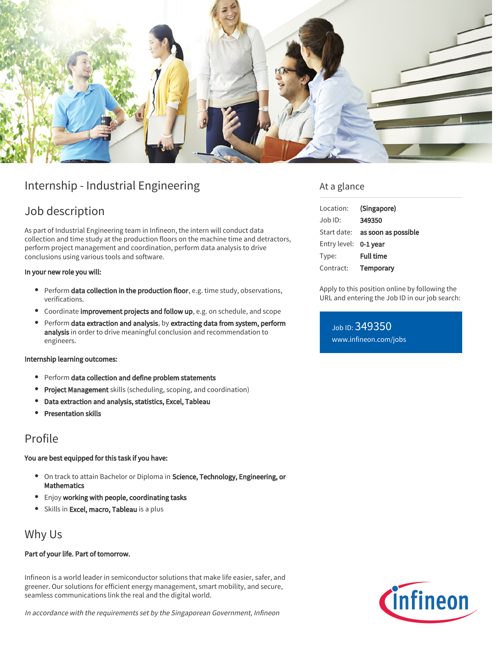

# Internship - Industrial Engineering

## Job description

As part of Industrial Engineering team in Infineon, the intern will conduct data collection and time study at the production floors on the machine time and detractors, perform project management and coordination, perform data analysis to drive conclusions using various tools and software.

#### In your new role you will:

- Perform data collection in the production floor, e.g. time study, observations, verifications.
- **•** Coordinate improvement projects and follow up, e.g. on schedule, and scope
- Perform data extraction and analysis, by extracting data from system, perform analysis in order to drive meaningful conclusion and recommendation to engineers.

#### Internship learning outcomes:

- Perform data collection and define problem statements
- **Project Management** skills (scheduling, scoping, and coordination)
- Data extraction and analysis, statistics, Excel, Tableau
- Presentation skills

### Profile

### You are best equipped for this task if you have:

- **•** On track to attain Bachelor or Diploma in Science, Technology, Engineering, or **Mathematics**
- **•** Enjoy working with people, coordinating tasks
- Skills in Excel, macro, Tableau is a plus

### Why Us

### Part of your life. Part of tomorrow.

Infineon is a world leader in semiconductor solutions that make life easier, safer, and greener. Our solutions for efficient energy management, smart mobility, and secure, seamless communications link the real and the digital world.

In accordance with the requirements set by the Singaporean Government, Infineon

### At a glance

| Location:             | (Singapore)                     |
|-----------------------|---------------------------------|
| Job ID:               | 349350                          |
|                       | Start date: as soon as possible |
| Entry level: 0-1 year |                                 |
| Type:                 | <b>Full time</b>                |
| Contract:             | Temporary                       |

Apply to this position online by following the URL and entering the Job ID in our job search:

Job ID: 349350 [www.infineon.com/jobs](https://www.infineon.com/jobs)